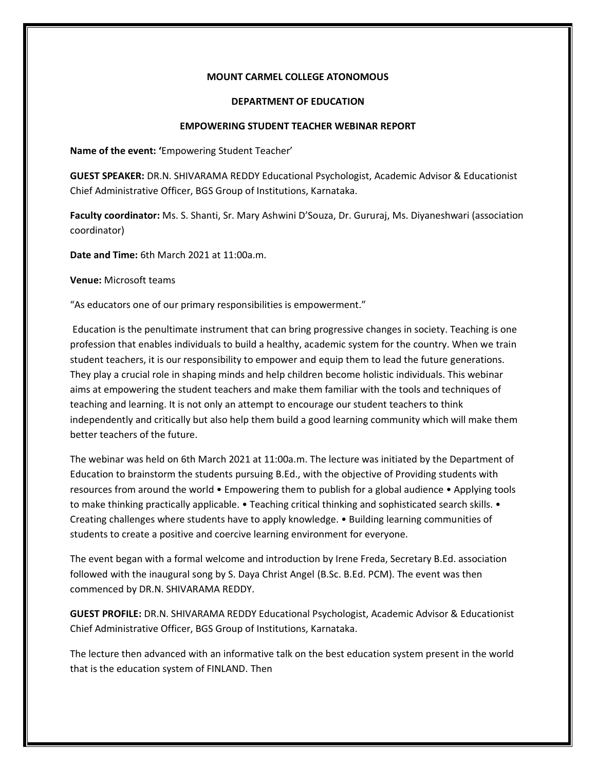## **MOUNT CARMEL COLLEGE ATONOMOUS**

## **DEPARTMENT OF EDUCATION**

## **EMPOWERING STUDENT TEACHER WEBINAR REPORT**

**Name of the event: '**Empowering Student Teacher'

**GUEST SPEAKER:** DR.N. SHIVARAMA REDDY Educational Psychologist, Academic Advisor & Educationist Chief Administrative Officer, BGS Group of Institutions, Karnataka.

**Faculty coordinator:** Ms. S. Shanti, Sr. Mary Ashwini D'Souza, Dr. Gururaj, Ms. Diyaneshwari (association coordinator)

**Date and Time:** 6th March 2021 at 11:00a.m.

**Venue:** Microsoft teams

"As educators one of our primary responsibilities is empowerment."

Education is the penultimate instrument that can bring progressive changes in society. Teaching is one profession that enables individuals to build a healthy, academic system for the country. When we train student teachers, it is our responsibility to empower and equip them to lead the future generations. They play a crucial role in shaping minds and help children become holistic individuals. This webinar aims at empowering the student teachers and make them familiar with the tools and techniques of teaching and learning. It is not only an attempt to encourage our student teachers to think independently and critically but also help them build a good learning community which will make them better teachers of the future.

The webinar was held on 6th March 2021 at 11:00a.m. The lecture was initiated by the Department of Education to brainstorm the students pursuing B.Ed., with the objective of Providing students with resources from around the world • Empowering them to publish for a global audience • Applying tools to make thinking practically applicable. • Teaching critical thinking and sophisticated search skills. • Creating challenges where students have to apply knowledge. • Building learning communities of students to create a positive and coercive learning environment for everyone.

The event began with a formal welcome and introduction by Irene Freda, Secretary B.Ed. association followed with the inaugural song by S. Daya Christ Angel (B.Sc. B.Ed. PCM). The event was then commenced by DR.N. SHIVARAMA REDDY.

**GUEST PROFILE:** DR.N. SHIVARAMA REDDY Educational Psychologist, Academic Advisor & Educationist Chief Administrative Officer, BGS Group of Institutions, Karnataka.

The lecture then advanced with an informative talk on the best education system present in the world that is the education system of FINLAND. Then